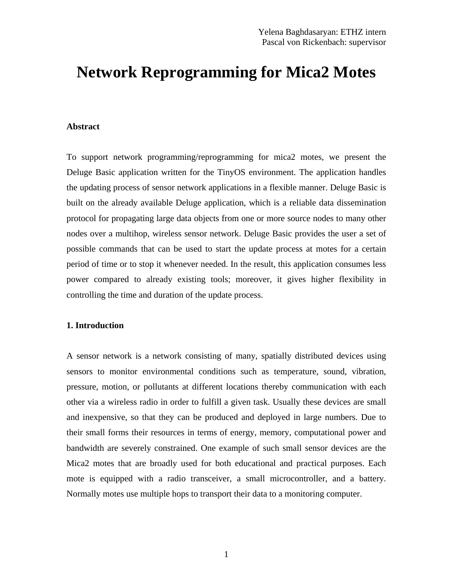# **Network Reprogramming for Mica2 Motes**

#### **Abstract**

To support network programming/reprogramming for mica2 motes, we present the Deluge Basic application written for the TinyOS environment. The application handles the updating process of sensor network applications in a flexible manner. Deluge Basic is built on the already available Deluge application, which is a reliable data dissemination protocol for propagating large data objects from one or more source nodes to many other nodes over a multihop, wireless sensor network. Deluge Basic provides the user a set of possible commands that can be used to start the update process at motes for a certain period of time or to stop it whenever needed. In the result, this application consumes less power compared to already existing tools; moreover, it gives higher flexibility in controlling the time and duration of the update process.

#### **1. Introduction**

A sensor network is a network consisting of many, spatially distributed devices using sensors to monitor environmental conditions such as temperature, sound, vibration, pressure, motion, or pollutants at different locations thereby communication with each other via a wireless radio in order to fulfill a given task. Usually these devices are small and inexpensive, so that they can be produced and deployed in large numbers. Due to their small forms their resources in terms of energy, memory, computational power and bandwidth are severely constrained. One example of such small sensor devices are the Mica2 motes that are broadly used for both educational and practical purposes. Each mote is equipped with a radio transceiver, a small microcontroller, and a battery. Normally motes use multiple hops to transport their data to a monitoring computer.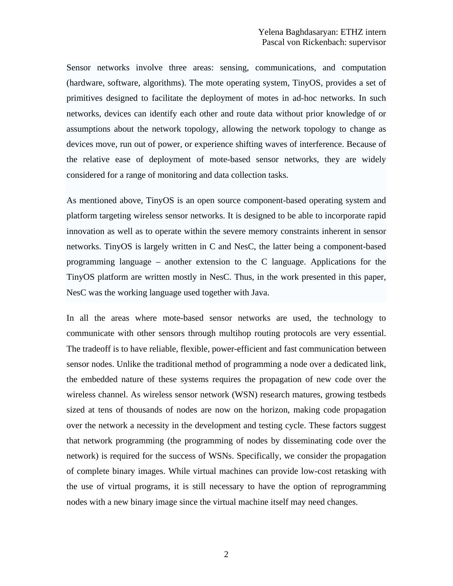Sensor networks involve three areas: sensing, communications, and computation (hardware, software, algorithms). The mote operating system, TinyOS, provides a set of primitives designed to facilitate the deployment of motes in ad-hoc networks. In such networks, devices can identify each other and route data without prior knowledge of or assumptions about the network topology, allowing the network topology to change as devices move, run out of power, or experience shifting waves of interference. Because of the relative ease of deployment of mote-based sensor networks, they are widely considered for a range of monitoring and data collection tasks.

As mentioned above, TinyOS is an open source component-based operating system and platform targeting wireless sensor networks. It is designed to be able to incorporate rapid innovation as well as to operate within the severe memory constraints inherent in sensor networks. TinyOS is largely written in C and NesC, the latter being a component-based programming language – another extension to the C language. Applications for the TinyOS platform are written mostly in NesC. Thus, in the work presented in this paper, NesC was the working language used together with Java.

In all the areas where mote-based sensor networks are used, the technology to communicate with other sensors through multihop routing protocols are very essential. The tradeoff is to have reliable, flexible, power-efficient and fast communication between sensor nodes. Unlike the traditional method of programming a node over a dedicated link, the embedded nature of these systems requires the propagation of new code over the wireless channel. As wireless sensor network (WSN) research matures, growing testbeds sized at tens of thousands of nodes are now on the horizon, making code propagation over the network a necessity in the development and testing cycle. These factors suggest that network programming (the programming of nodes by disseminating code over the network) is required for the success of WSNs. Specifically, we consider the propagation of complete binary images. While virtual machines can provide low-cost retasking with the use of virtual programs, it is still necessary to have the option of reprogramming nodes with a new binary image since the virtual machine itself may need changes.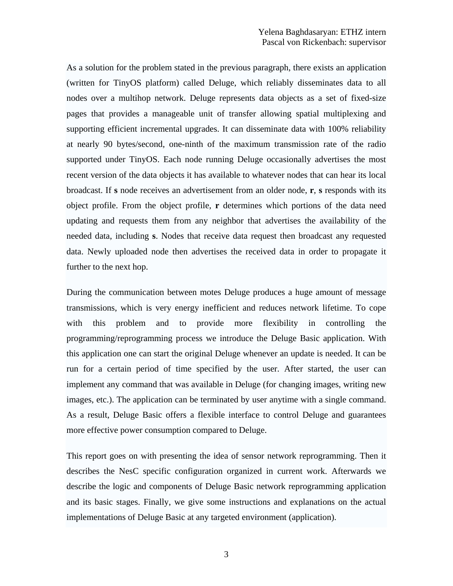As a solution for the problem stated in the previous paragraph, there exists an application (written for TinyOS platform) called Deluge, which reliably disseminates data to all nodes over a multihop network. Deluge represents data objects as a set of fixed-size pages that provides a manageable unit of transfer allowing spatial multiplexing and supporting efficient incremental upgrades. It can disseminate data with 100% reliability at nearly 90 bytes/second, one-ninth of the maximum transmission rate of the radio supported under TinyOS. Each node running Deluge occasionally advertises the most recent version of the data objects it has available to whatever nodes that can hear its local broadcast. If **s** node receives an advertisement from an older node, **r**, **s** responds with its object profile. From the object profile, **r** determines which portions of the data need updating and requests them from any neighbor that advertises the availability of the needed data, including **s**. Nodes that receive data request then broadcast any requested data. Newly uploaded node then advertises the received data in order to propagate it further to the next hop.

During the communication between motes Deluge produces a huge amount of message transmissions, which is very energy inefficient and reduces network lifetime. To cope with this problem and to provide more flexibility in controlling the programming/reprogramming process we introduce the Deluge Basic application. With this application one can start the original Deluge whenever an update is needed. It can be run for a certain period of time specified by the user. After started, the user can implement any command that was available in Deluge (for changing images, writing new images, etc.). The application can be terminated by user anytime with a single command. As a result, Deluge Basic offers a flexible interface to control Deluge and guarantees more effective power consumption compared to Deluge.

This report goes on with presenting the idea of sensor network reprogramming. Then it describes the NesC specific configuration organized in current work. Afterwards we describe the logic and components of Deluge Basic network reprogramming application and its basic stages. Finally, we give some instructions and explanations on the actual implementations of Deluge Basic at any targeted environment (application).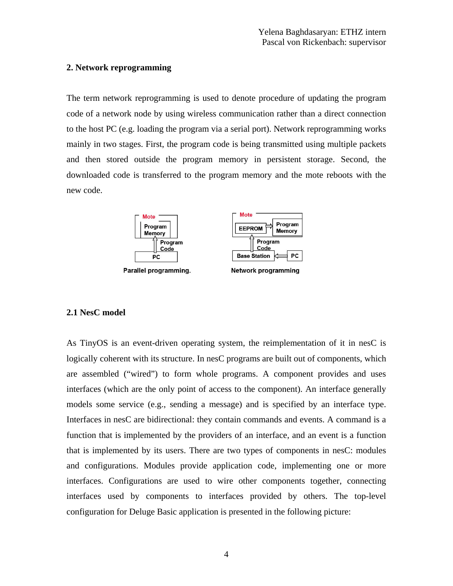# **2. Network reprogramming**

The term network reprogramming is used to denote procedure of updating the program code of a network node by using wireless communication rather than a direct connection to the host PC (e.g. loading the program via a serial port). Network reprogramming works mainly in two stages. First, the program code is being transmitted using multiple packets and then stored outside the program memory in persistent storage. Second, the downloaded code is transferred to the program memory and the mote reboots with the new code.



# **2.1 NesC model**

As TinyOS is an event-driven operating system, the reimplementation of it in nesC is logically coherent with its structure. In nesC programs are built out of components, which are assembled ("wired") to form whole programs. A component provides and uses interfaces (which are the only point of access to the component). An interface generally models some service (e.g., sending a message) and is specified by an interface type. Interfaces in nesC are bidirectional: they contain commands and events. A command is a function that is implemented by the providers of an interface, and an event is a function that is implemented by its users. There are two types of components in nesC: modules and configurations. Modules provide application code, implementing one or more interfaces. Configurations are used to wire other components together, connecting interfaces used by components to interfaces provided by others. The top-level configuration for Deluge Basic application is presented in the following picture: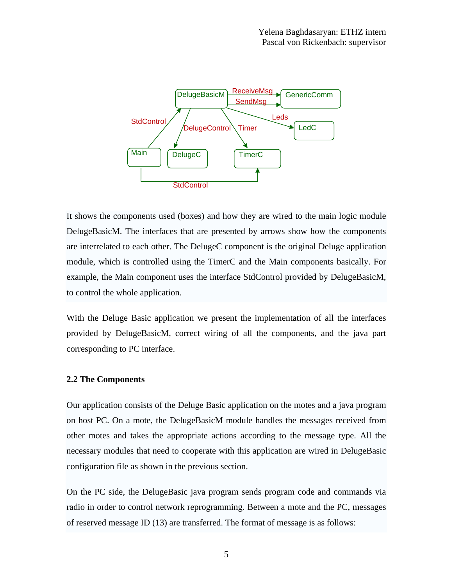

It shows the components used (boxes) and how they are wired to the main logic module DelugeBasicM. The interfaces that are presented by arrows show how the components are interrelated to each other. The DelugeC component is the original Deluge application module, which is controlled using the TimerC and the Main components basically. For example, the Main component uses the interface StdControl provided by DelugeBasicM, to control the whole application.

With the Deluge Basic application we present the implementation of all the interfaces provided by DelugeBasicM, correct wiring of all the components, and the java part corresponding to PC interface.

## **2.2 The Components**

Our application consists of the Deluge Basic application on the motes and a java program on host PC. On a mote, the DelugeBasicM module handles the messages received from other motes and takes the appropriate actions according to the message type. All the necessary modules that need to cooperate with this application are wired in DelugeBasic configuration file as shown in the previous section.

On the PC side, the DelugeBasic java program sends program code and commands via radio in order to control network reprogramming. Between a mote and the PC, messages of reserved message ID (13) are transferred. The format of message is as follows: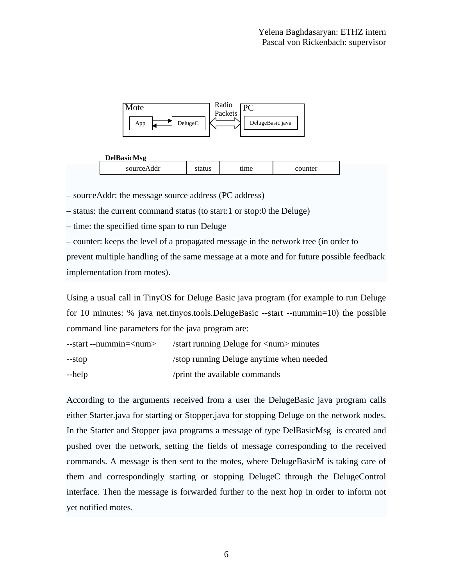



– sourceAddr: the message source address (PC address)

– status: the current command status (to start:1 or stop:0 the Deluge)

– time: the specified time span to run Deluge

– counter: keeps the level of a propagated message in the network tree (in order to

prevent multiple handling of the same message at a mote and for future possible feedback implementation from motes).

Using a usual call in TinyOS for Deluge Basic java program (for example to run Deluge for 10 minutes: % java net.tinyos.tools.DelugeBasic --start --nummin=10) the possible command line parameters for the java program are:

| $-$ start $-$ nummin= $\langle$ num $\rangle$ | $\frac{1}{1}$ /start running Deluge for $\frac{1}{1}$ minutes |
|-----------------------------------------------|---------------------------------------------------------------|
| --stop                                        | /stop running Deluge anytime when needed                      |
| --help                                        | /print the available commands                                 |

According to the arguments received from a user the DelugeBasic java program calls either Starter.java for starting or Stopper.java for stopping Deluge on the network nodes. In the Starter and Stopper java programs a message of type DelBasicMsg is created and pushed over the network, setting the fields of message corresponding to the received commands. A message is then sent to the motes, where DelugeBasicM is taking care of them and correspondingly starting or stopping DelugeC through the DelugeControl interface. Then the message is forwarded further to the next hop in order to inform not yet notified motes.